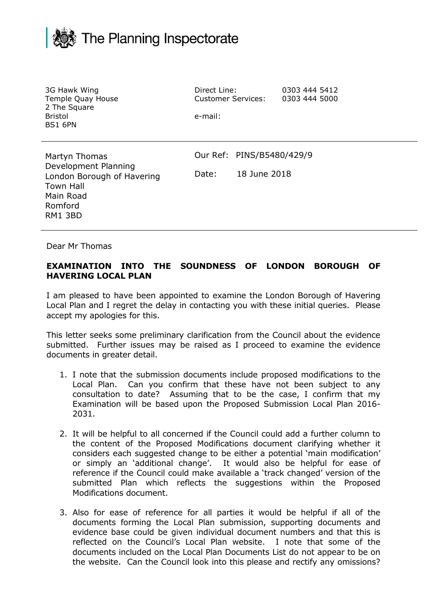

| 3G Hawk Wing<br>Temple Quay House<br>2 The Square<br><b>Bristol</b><br><b>BS1 6PN</b>                                      | Direct Line:<br><b>Customer Services:</b><br>e-mail: |                                           | 0303 444 5412<br>0303 444 5000 |  |
|----------------------------------------------------------------------------------------------------------------------------|------------------------------------------------------|-------------------------------------------|--------------------------------|--|
| Martyn Thomas<br>Development Planning<br>London Borough of Havering<br><b>Town Hall</b><br>Main Road<br>Romford<br>RM1 3BD | Date:                                                | Our Ref: PINS/B5480/429/9<br>18 June 2018 |                                |  |

Dear Mr Thomas

## **EXAMINATION INTO THE SOUNDNESS OF LONDON BOROUGH OF HAVERING LOCAL PLAN**

I am pleased to have been appointed to examine the London Borough of Havering Local Plan and I regret the delay in contacting you with these initial queries. Please accept my apologies for this.

This letter seeks some preliminary clarification from the Council about the evidence submitted. Further issues may be raised as I proceed to examine the evidence documents in greater detail.

- 1. I note that the submission documents include proposed modifications to the Local Plan. Can you confirm that these have not been subject to any consultation to date? Assuming that to be the case, I confirm that my Examination will be based upon the Proposed Submission Local Plan 2016- 2031.
- 2. It will be helpful to all concerned if the Council could add a further column to the content of the Proposed Modifications document clarifying whether it considers each suggested change to be either a potential 'main modification' or simply an 'additional change'. It would also be helpful for ease of reference if the Council could make available a 'track changed' version of the submitted Plan which reflects the suggestions within the Proposed Modifications document.
- 3. Also for ease of reference for all parties it would be helpful if all of the documents forming the Local Plan submission, supporting documents and evidence base could be given individual document numbers and that this is reflected on the Council's Local Plan website. I note that some of the documents included on the Local Plan Documents List do not appear to be on the website. Can the Council look into this please and rectify any omissions?